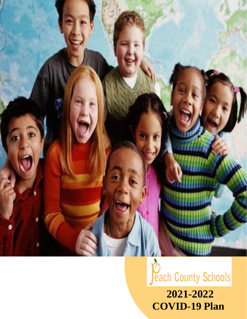



**COVID-19 Plan**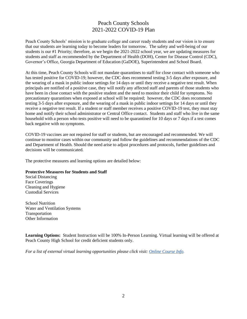# Peach County Schools 2021-2022 COVID-19 Plan

Peach County Schools' mission is to graduate college and career ready students and our vision is to ensure that our students are learning today to become leaders for tomorrow. The safety and well-being of our students is our #1 Priority; therefore, as we begin the 2021-2022 school year, we are updating measures for students and staff as recommended by the Department of Health (DOH), Center for Disease Control (CDC), Governor's Office, Georgia Department of Education (GaDOE), Superintendent and School Board.

At this time, Peach County Schools will not mandate quarantines to staff for close contact with someone who has tested positive for COVID-19; however, the CDC does recommend testing 3-5 days after exposure, and the wearing of a mask in public indoor settings for 14 days or until they receive a negative test result. When principals are notified of a positive case, they will notify any affected staff and parents of those students who have been in close contact with the positive student and the need to monitor their child for symptoms. No precautionary quarantines when exposed at school will be required; however, the CDC does recommend testing 3-5 days after exposure, and the wearing of a mask in public indoor settings for 14 days or until they receive a negative test result. If a student or staff member receives a positive COVID-19 test, they must stay home and notify their school administrator or Central Office contact. Students and staff who live in the same household with a person who tests positive will need to be quarantined for 10 days or 7 days if a test comes back negative with no symptoms.

COVID-19 vaccines are not required for staff or students, but are encouraged and recommended. We will continue to monitor cases within our community and follow the guidelines and recommendations of the CDC and Department of Health. Should the need arise to adjust procedures and protocols, further guidelines and decisions will be communicated.

The protective measures and learning options are detailed below:

#### **Protective Measures for Students and Staff**

Social Distancing Face Coverings Cleaning and Hygiene Custodial Services

School Nutrition Water and Ventilation Systems Transportation Other Information

**Learning Options:** Student Instruction will be 100% In-Person Learning. Virtual learning will be offered at Peach County High School for credit deficient students only.

*For a list of external virtual learning opportunities please click visit: [Online Course Info.](https://www.peachschools.org/Content2/42)*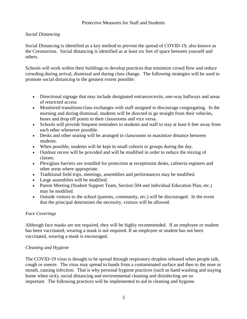### Protective Measures for Staff and Students

## *Social Distancing*

Social Distancing is identified as a key method to prevent the spread of COVID-19, also known as the Coronavirus. Social distancing is identified as at least six feet of space between yourself and others.

Schools will work within their buildings to develop practices that minimize crowd flow and reduce crowding during arrival, dismissal and during class change. The following strategies will be used to promote social distancing to the greatest extent possible:

- Directional signage that may include designated entrances/exits, one-way hallways and areas of restricted access
- Monitored transitions/class exchanges with staff assigned to discourage congregating. In the morning and during dismissal, students will be directed to go straight from their vehicles, buses and drop off points to their classrooms and vice versa.
- Schools will provide frequent reminders to students and staff to stay at least 6 feet away from each other whenever possible.
- Desks and other seating will be arranged in classrooms to maximize distance between students.
- When possible, students will be kept in small cohorts or groups during the day.
- Outdoor recess will be provided and will be modified in order to reduce the mixing of classes.
- Plexiglass barriers are installed for protection at receptionist desks, cafeteria registers and other areas where appropriate.
- Traditional field trips, meetings, assemblies and performances may be modified.
- Large assemblies will be modified.
- Parent Meeting (Student Support Team, Section 504 and individual Education Plan, etc.) may be modified.
- Outside visitors to the school (parents, community, etc.) will be discouraged. In the event that the principal determines the necessity, visitors will be allowed.

#### *Face Coverings*

Although face masks are not required, they will be highly recommended. If an employee or student has been vaccinated, wearing a mask is not required. If an employee or student has not been vaccinated, wearing a mask is encouraged.

## *Cleaning and Hygiene*

The COVID-19 virus is thought to be spread through respiratory droplets released when people talk, cough or sneeze. The virus may spread to hands from a contaminated surface and then to the nose or mouth, causing infection. That is why personal hygiene practices (such as hand-washing and staying home when sick), social distancing and environmental cleaning and disinfecting are so important. The following practices will be implemented to aid in cleaning and hygiene.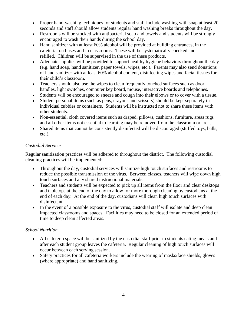- Proper hand-washing techniques for students and staff include washing with soap at least 20 seconds and staff should allow students regular hand washing breaks throughout the day.
- Restrooms will be stocked with antibacterial soap and towels and students will be strongly encouraged to wash their hands during the school day.
- Hand sanitizer with at least 60% alcohol will be provided at building entrances, in the cafeteria, on buses and in classrooms. These will be systematically checked and refilled. Children will be supervised in the use of these products.
- Adequate supplies will be provided to support healthy hygiene behaviors throughout the day (e.g. hand soap, hand sanitizer, paper towels, wipes, etc.). Parents may also send donations of hand sanitizer with at least 60% alcohol content, disinfecting wipes and facial tissues for their child's classroom.
- Teachers should also use the wipes to clean frequently touched surfaces such as door handles, light switches, computer key board, mouse, interactive boards and telephones.
- Students will be encouraged to sneeze and cough into their elbows or to cover with a tissue.
- Student personal items (such as pens, crayons and scissors) should be kept separately in individual cubbies or containers. Students will be instructed not to share these items with other students.
- Non-essential, cloth covered items such as draped, pillows, cushions, furniture, areas rugs and all other items not essential to learning may be removed from the classroom or area,
- Shared items that cannot be consistently disinfected will be discouraged (stuffed toys, balls, etc.).

## *Custodial Services*

Regular sanitization practices will be adhered to throughout the district. The following custodial cleaning practices will be implemented:

- Throughout the day, custodial services will sanitize high touch surfaces and restrooms to reduce the possible transmission of the virus. Between classes, teachers will wipe down high touch surfaces and any shared instructional materials.
- Teachers and students will be expected to pick up all items from the floor and clear desktops and tabletops at the end of the day to allow for more thorough cleaning by custodians at the end of each day. At the end of the day, custodians will clean high touch surfaces with disinfectant.
- In the event of a possible exposure to the virus, custodial staff will isolate and deep clean impacted classrooms and spaces. Facilities may need to be closed for an extended period of time to deep clean affected areas.

## *School Nutrition*

- All cafeteria space will be sanitized by the custodial staff prior to students eating meals and after each student group leaves the cafeteria. Regular cleaning of high touch surfaces will occur between each serving session.
- Safety practices for all cafeteria workers include the wearing of masks/face shields, gloves (where appropriate) and hand sanitizing.